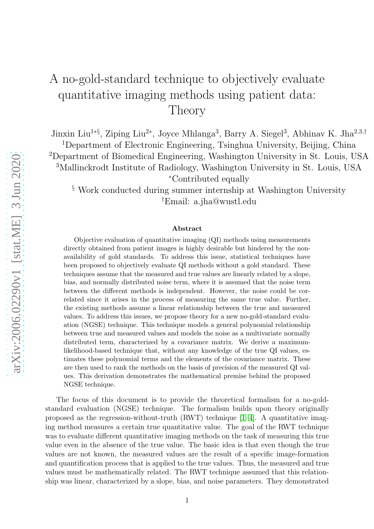## A no-gold-standard technique to objectively evaluate quantitative imaging methods using patient data: Theory

Jinxin Liu<sup>1∗§</sup>, Ziping Liu<sup>2∗</sup>, Joyce Mhlanga<sup>3</sup>, Barry A. Siegel<sup>3</sup>, Abhinav K. Jha<sup>2,3,†</sup>

Department of Electronic Engineering, Tsinghua University, Beijing, China Department of Biomedical Engineering, Washington University in St. Louis, USA Mallinckrodt Institute of Radiology, Washington University in St. Louis, USA <sup>∗</sup>Contributed equally

 $\S$  Work conducted during summer internship at Washington University †Email: a.jha@wustl.edu

## Abstract

Objective evaluation of quantitative imaging (QI) methods using measurements directly obtained from patient images is highly desirable but hindered by the nonavailability of gold standards. To address this issue, statistical techniques have been proposed to objectively evaluate QI methods without a gold standard. These techniques assume that the measured and true values are linearly related by a slope, bias, and normally distributed noise term, where it is assumed that the noise term between the different methods is independent. However, the noise could be correlated since it arises in the process of measuring the same true value. Further, the existing methods assume a linear relationship between the true and measured values. To address this issues, we propose theory for a new no-gold-standard evaluation (NGSE) technique. This technique models a general polynomial relationship between true and measured values and models the noise as a multivariate normally distributed term, characterized by a covariance matrix. We derive a maximumlikelihood-based technique that, without any knowledge of the true QI values, estimates these polynomial terms and the elements of the covariance matrix. These are then used to rank the methods on the basis of precision of the measured QI values. This derivation demonstrates the mathematical premise behind the proposed NGSE technique.

The focus of this document is to provide the theoretical formalism for a no-goldstandard evaluation (NGSE) technique. The formalism builds upon theory originally proposed as the regression-without-truth  $(RWT)$  technique [\[1](#page-3-0)[–4\]](#page-3-1). A quantitative imaging method measures a certain true quantitative value. The goal of the RWT technique was to evaluate different quantitative imaging methods on the task of measuring this true value even in the absence of the true value. The basic idea is that even though the true values are not known, the measured values are the result of a specific image-formation and quantification process that is applied to the true values. Thus, the measured and true values must be mathematically related. The RWT technique assumed that this relationship was linear, characterized by a slope, bias, and noise parameters. They demonstrated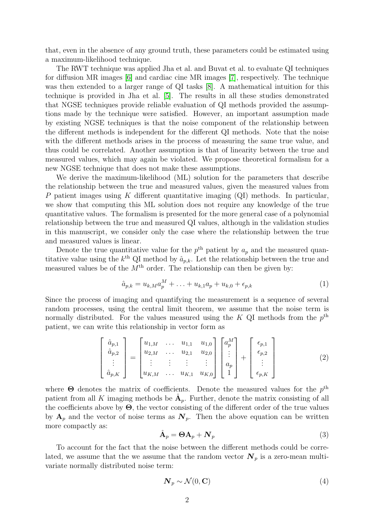that, even in the absence of any ground truth, these parameters could be estimated using a maximum-likelihood technique.

The RWT technique was applied Jha et al. and Buvat et al. to evaluate QI techniques for diffusion MR images [\[6\]](#page-3-2) and cardiac cine MR images [\[7\]](#page-3-3), respectively. The technique was then extended to a larger range of QI tasks [\[8\]](#page-4-0). A mathematical intuition for this technique is provided in Jha et al. [\[5\]](#page-3-4). The results in all these studies demonstrated that NGSE techniques provide reliable evaluation of QI methods provided the assumptions made by the technique were satisfied. However, an important assumption made by existing NGSE techniques is that the noise component of the relationship between the different methods is independent for the different QI methods. Note that the noise with the different methods arises in the process of measuring the same true value, and thus could be correlated. Another assumption is that of linearity between the true and measured values, which may again be violated. We propose theoretical formalism for a new NGSE technique that does not make these assumptions.

We derive the maximum-likelihood (ML) solution for the parameters that describe the relationship between the true and measured values, given the measured values from P patient images using K different quantitative imaging  $(QI)$  methods. In particular, we show that computing this ML solution does not require any knowledge of the true quantitative values. The formalism is presented for the more general case of a polynomial relationship between the true and measured QI values, although in the validation studies in this manuscript, we consider only the case where the relationship between the true and measured values is linear.

Denote the true quantitative value for the  $p^{\text{th}}$  patient by  $a_p$  and the measured quantitative value using the  $k^{\text{th}}$  QI method by  $\hat{a}_{p,k}$ . Let the relationship between the true and measured values be of the  $M<sup>th</sup>$  order. The relationship can then be given by:

$$
\hat{a}_{p,k} = u_{k,M} a_p^M + \ldots + u_{k,1} a_p + u_{k,0} + \epsilon_{p,k} \tag{1}
$$

Since the process of imaging and quantifying the measurement is a sequence of several random processes, using the central limit theorem, we assume that the noise term is normally distributed. For the values measured using the K QI methods from the  $p^{\text{th}}$ patient, we can write this relationship in vector form as

$$
\begin{bmatrix}\n\hat{a}_{p,1} \\
\hat{a}_{p,2} \\
\vdots \\
\hat{a}_{p,K}\n\end{bmatrix} = \begin{bmatrix}\nu_{1,M} & \cdots & u_{1,1} & u_{1,0} \\
u_{2,M} & \cdots & u_{2,1} & u_{2,0} \\
\vdots & \vdots & \vdots & \vdots \\
u_{K,M} & \cdots & u_{K,1} & u_{K,0}\n\end{bmatrix} \begin{bmatrix}\na_p^M \\
\vdots \\
a_p \\
1\n\end{bmatrix} + \begin{bmatrix}\n\epsilon_{p,1} \\
\epsilon_{p,2} \\
\vdots \\
\epsilon_{p,K}\n\end{bmatrix}
$$
\n(2)

where  $\Theta$  denotes the matrix of coefficients. Denote the measured values for the  $p^{\text{th}}$ patient from all K imaging methods be  $\hat{A}_p$ . Further, denote the matrix consisting of all the coefficients above by  $\Theta$ , the vector consisting of the different order of the true values by  $A_p$  and the vector of noise terms as  $N_p$ . Then the above equation can be written more compactly as:

$$
\hat{\mathbf{A}}_p = \mathbf{\Theta} \mathbf{A}_p + \mathbf{N}_p \tag{3}
$$

To account for the fact that the noise between the different methods could be correlated, we assume that the we assume that the random vector  $N_p$  is a zero-mean multivariate normally distributed noise term:

$$
\mathbf{N}_p \sim \mathcal{N}(0, \mathbf{C})\tag{4}
$$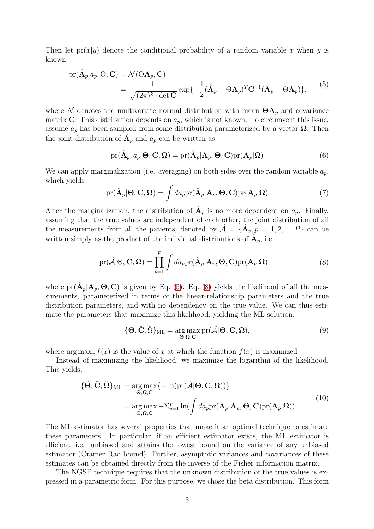Then let  $pr(x|y)$  denote the conditional probability of a random variable x when y is known.

<span id="page-2-0"></span>
$$
pr(\hat{\mathbf{A}}_p|a_p, \Theta, \mathbf{C}) = \mathcal{N}(\Theta \mathbf{A}_p, \mathbf{C})
$$
  
= 
$$
\frac{1}{\sqrt{(2\pi)^k \cdot \det \mathbf{C}}} exp{-\frac{1}{2}(\hat{\mathbf{A}}_p - \Theta \mathbf{A}_p)^T \mathbf{C}^{-1}(\hat{\mathbf{A}}_p - \Theta \mathbf{A}_p)},
$$
(5)

where N denotes the multivariate normal distribution with mean  $\Theta A_p$  and covariance matrix C. This distribution depends on  $a_p$ , which is not known. To circumvent this issue, assume  $a_p$  has been sampled from some distribution parameterized by a vector  $\Omega$ . Then the joint distribution of  $\hat{A}_p$  and  $a_p$  can be written as

$$
pr(\hat{A}_p, a_p | \Theta, C, \Omega) = pr(\hat{A}_p | A_p, \Theta, C) pr(A_p | \Omega)
$$
\n(6)

We can apply marginalization (i.e. averaging) on both sides over the random variable  $a_p$ , which yields

$$
pr(\hat{\mathbf{A}}_p | \mathbf{\Theta}, \mathbf{C}, \mathbf{\Omega}) = \int da_p pr(\hat{\mathbf{A}}_p | \mathbf{A}_p, \mathbf{\Theta}, \mathbf{C}) pr(\mathbf{A}_p | \mathbf{\Omega})
$$
(7)

After the marginalization, the distribution of  $\hat{A}_p$  is no more dependent on  $a_p$ . Finally, assuming that the true values are independent of each other, the joint distribution of all the measurements from all the patients, denoted by  $\hat{\mathcal{A}} = {\{\hat{A}_p, p = 1, 2, \ldots P\}}$  can be written simply as the product of the individual distributions of  $\hat{A}_p$ , i.e.

<span id="page-2-1"></span>
$$
\text{pr}(\hat{\mathcal{A}}|\Theta,\mathbf{C},\mathbf{\Omega})=\prod_{p=1}^{P}\int da_p \text{pr}(\hat{\mathbf{A}}_p|\mathbf{A}_p,\Theta,\mathbf{C})\text{pr}(\mathbf{A}_p|\mathbf{\Omega}),
$$
\n(8)

where  $pr(\hat{A}_p | A_p, \Theta, C)$  is given by Eq. [\(5\)](#page-2-0). Eq. [\(8\)](#page-2-1) yields the likelihood of all the measurements, parameterized in terms of the linear-relationship parameters and the true distribution parameters, and with no dependency on the true value. We can thus estimate the parameters that maximize this likelihood, yielding the ML solution:

$$
\{\hat{\Theta}, \hat{\mathbf{C}}, \hat{\Omega}\}_{\mathrm{ML}} = \underset{\Theta, \Omega, \mathbf{C}}{\arg \max} \mathrm{pr}(\hat{\mathcal{A}} | \Theta, \mathbf{C}, \Omega), \tag{9}
$$

where  $\arg \max_x f(x)$  is the value of x at which the function  $f(x)$  is maximized.

Instead of maximizing the likelihood, we maximize the logarithm of the likelihood. This yields:

$$
\{\hat{\Theta}, \hat{\mathbf{C}}, \hat{\mathbf{\Omega}}\}_{\text{ML}} = \underset{\Theta, \mathbf{\Omega}, \mathbf{C}}{\arg \max} \{-\ln(\text{pr}(\hat{\mathcal{A}}|\Theta, \mathbf{C}, \mathbf{\Omega}))\}
$$
  
= 
$$
\underset{\Theta, \mathbf{\Omega}, \mathbf{C}}{\arg \max} -\sum_{p=1}^{P} \ln(\int da_p \text{pr}(\hat{\mathbf{A}}_p | \mathbf{A}_p, \Theta, \mathbf{C}) \text{pr}(\mathbf{A}_p | \mathbf{\Omega}))
$$
(10)

The ML estimator has several properties that make it an optimal technique to estimate these parameters. In particular, if an efficient estimator exists, the ML estimator is efficient, i.e. unbiased and attains the lowest bound on the variance of any unbiased estimator (Cramer Rao bound). Further, asymptotic variances and covariances of these estimates can be obtained directly from the inverse of the Fisher information matrix.

The NGSE technique requires that the unknown distribution of the true values is expressed in a parametric form. For this purpose, we chose the beta distribution. This form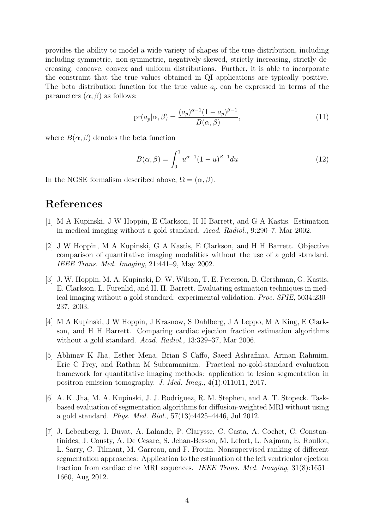provides the ability to model a wide variety of shapes of the true distribution, including including symmetric, non-symmetric, negatively-skewed, strictly increasing, strictly decreasing, concave, convex and uniform distributions. Further, it is able to incorporate the constraint that the true values obtained in QI applications are typically positive. The beta distribution function for the true value  $a_p$  can be expressed in terms of the parameters  $(\alpha, \beta)$  as follows:

$$
pr(a_p|\alpha,\beta) = \frac{(a_p)^{\alpha-1}(1-a_p)^{\beta-1}}{B(\alpha,\beta)},
$$
\n(11)

where  $B(\alpha, \beta)$  denotes the beta function

$$
B(\alpha, \beta) = \int_0^1 u^{\alpha - 1} (1 - u)^{\beta - 1} du
$$
 (12)

In the NGSE formalism described above,  $\Omega = (\alpha, \beta)$ .

## <span id="page-3-0"></span>References

- [1] M A Kupinski, J W Hoppin, E Clarkson, H H Barrett, and G A Kastis. Estimation in medical imaging without a gold standard. Acad. Radiol., 9:290–7, Mar 2002.
- [2] J W Hoppin, M A Kupinski, G A Kastis, E Clarkson, and H H Barrett. Objective comparison of quantitative imaging modalities without the use of a gold standard. IEEE Trans. Med. Imaging, 21:441–9, May 2002.
- [3] J. W. Hoppin, M. A. Kupinski, D. W. Wilson, T. E. Peterson, B. Gershman, G. Kastis, E. Clarkson, L. Furenlid, and H. H. Barrett. Evaluating estimation techniques in medical imaging without a gold standard: experimental validation. Proc. SPIE, 5034:230– 237, 2003.
- <span id="page-3-1"></span>[4] M A Kupinski, J W Hoppin, J Krasnow, S Dahlberg, J A Leppo, M A King, E Clarkson, and H H Barrett. Comparing cardiac ejection fraction estimation algorithms without a gold standard. Acad. Radiol., 13:329–37, Mar 2006.
- <span id="page-3-4"></span>[5] Abhinav K Jha, Esther Mena, Brian S Caffo, Saeed Ashrafinia, Arman Rahmim, Eric C Frey, and Rathan M Subramaniam. Practical no-gold-standard evaluation framework for quantitative imaging methods: application to lesion segmentation in positron emission tomography. J. Med. Imag., 4(1):011011, 2017.
- <span id="page-3-2"></span>[6] A. K. Jha, M. A. Kupinski, J. J. Rodriguez, R. M. Stephen, and A. T. Stopeck. Taskbased evaluation of segmentation algorithms for diffusion-weighted MRI without using a gold standard. Phys. Med. Biol., 57(13):4425–4446, Jul 2012.
- <span id="page-3-3"></span>[7] J. Lebenberg, I. Buvat, A. Lalande, P. Clarysse, C. Casta, A. Cochet, C. Constantinides, J. Cousty, A. De Cesare, S. Jehan-Besson, M. Lefort, L. Najman, E. Roullot, L. Sarry, C. Tilmant, M. Garreau, and F. Frouin. Nonsupervised ranking of different segmentation approaches: Application to the estimation of the left ventricular ejection fraction from cardiac cine MRI sequences. IEEE Trans. Med. Imaging, 31(8):1651– 1660, Aug 2012.